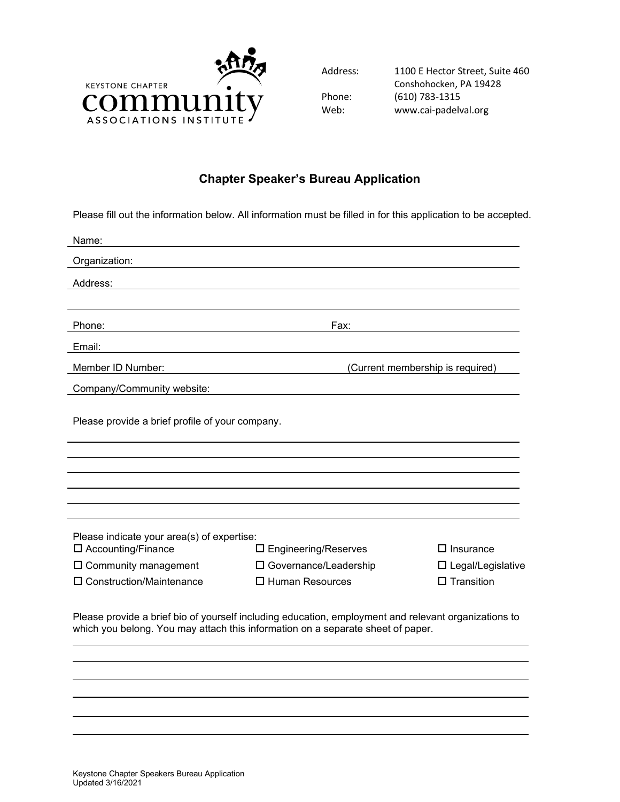

Address: 1100 E Hector Street, Suite 460 Conshohocken, PA 19428 Phone: (610) 783-1315 Web: www.cai-padelval.org

## **Chapter Speaker's Bureau Application**

Please fill out the information below. All information must be filled in for this application to be accepted.

| Name:                                                                                                                                                                                   |                                |                                  |  |  |
|-----------------------------------------------------------------------------------------------------------------------------------------------------------------------------------------|--------------------------------|----------------------------------|--|--|
| Organization:                                                                                                                                                                           |                                |                                  |  |  |
| Address:                                                                                                                                                                                |                                |                                  |  |  |
|                                                                                                                                                                                         |                                |                                  |  |  |
| Phone:                                                                                                                                                                                  | Fax:                           |                                  |  |  |
| Email:                                                                                                                                                                                  |                                |                                  |  |  |
| Member ID Number:                                                                                                                                                                       |                                | (Current membership is required) |  |  |
| Company/Community website:                                                                                                                                                              |                                |                                  |  |  |
| Please provide a brief profile of your company.                                                                                                                                         |                                |                                  |  |  |
|                                                                                                                                                                                         |                                |                                  |  |  |
|                                                                                                                                                                                         |                                |                                  |  |  |
|                                                                                                                                                                                         |                                |                                  |  |  |
|                                                                                                                                                                                         |                                |                                  |  |  |
| Please indicate your area(s) of expertise:                                                                                                                                              |                                |                                  |  |  |
| $\square$ Accounting/Finance                                                                                                                                                            | $\square$ Engineering/Reserves | $\Box$ Insurance                 |  |  |
| $\square$ Community management                                                                                                                                                          | □ Governance/Leadership        | $\Box$ Legal/Legislative         |  |  |
| $\Box$ Construction/Maintenance                                                                                                                                                         | $\Box$ Human Resources         | $\Box$ Transition                |  |  |
| Please provide a brief bio of yourself including education, employment and relevant organizations to<br>which you belong. You may attach this information on a separate sheet of paper. |                                |                                  |  |  |
|                                                                                                                                                                                         |                                |                                  |  |  |